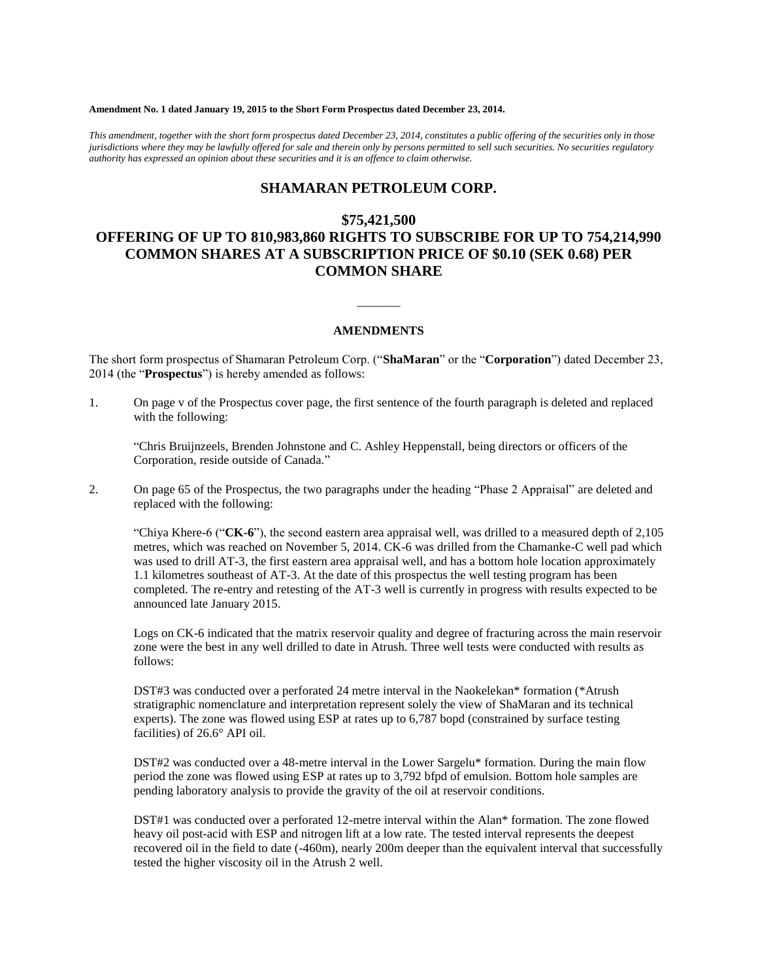#### **Amendment No. 1 dated January 19, 2015 to the Short Form Prospectus dated December 23, 2014.**

*This amendment, together with the short form prospectus dated December 23, 2014, constitutes a public offering of the securities only in those jurisdictions where they may be lawfully offered for sale and therein only by persons permitted to sell such securities. No securities regulatory authority has expressed an opinion about these securities and it is an offence to claim otherwise.*

## **SHAMARAN PETROLEUM CORP.**

### **\$75,421,500**

# **OFFERING OF UP TO 810,983,860 RIGHTS TO SUBSCRIBE FOR UP TO 754,214,990 COMMON SHARES AT A SUBSCRIPTION PRICE OF \$0.10 (SEK 0.68) PER COMMON SHARE**

#### **AMENDMENTS**

 $\overline{\phantom{a}}$ 

The short form prospectus of Shamaran Petroleum Corp. ("**ShaMaran**" or the "**Corporation**") dated December 23, 2014 (the "**Prospectus**") is hereby amended as follows:

1. On page v of the Prospectus cover page, the first sentence of the fourth paragraph is deleted and replaced with the following:

"Chris Bruijnzeels, Brenden Johnstone and C. Ashley Heppenstall, being directors or officers of the Corporation, reside outside of Canada."

2. On page 65 of the Prospectus, the two paragraphs under the heading "Phase 2 Appraisal" are deleted and replaced with the following:

"Chiya Khere-6 ("**CK-6**"), the second eastern area appraisal well, was drilled to a measured depth of 2,105 metres, which was reached on November 5, 2014. CK-6 was drilled from the Chamanke-C well pad which was used to drill AT-3, the first eastern area appraisal well, and has a bottom hole location approximately 1.1 kilometres southeast of AT-3. At the date of this prospectus the well testing program has been completed. The re-entry and retesting of the AT-3 well is currently in progress with results expected to be announced late January 2015.

Logs on CK-6 indicated that the matrix reservoir quality and degree of fracturing across the main reservoir zone were the best in any well drilled to date in Atrush. Three well tests were conducted with results as follows:

DST#3 was conducted over a perforated 24 metre interval in the Naokelekan\* formation (\*Atrush stratigraphic nomenclature and interpretation represent solely the view of ShaMaran and its technical experts). The zone was flowed using ESP at rates up to 6,787 bopd (constrained by surface testing facilities) of 26.6° API oil.

DST#2 was conducted over a 48-metre interval in the Lower Sargelu\* formation. During the main flow period the zone was flowed using ESP at rates up to 3,792 bfpd of emulsion. Bottom hole samples are pending laboratory analysis to provide the gravity of the oil at reservoir conditions.

DST#1 was conducted over a perforated 12-metre interval within the Alan\* formation. The zone flowed heavy oil post-acid with ESP and nitrogen lift at a low rate. The tested interval represents the deepest recovered oil in the field to date (-460m), nearly 200m deeper than the equivalent interval that successfully tested the higher viscosity oil in the Atrush 2 well.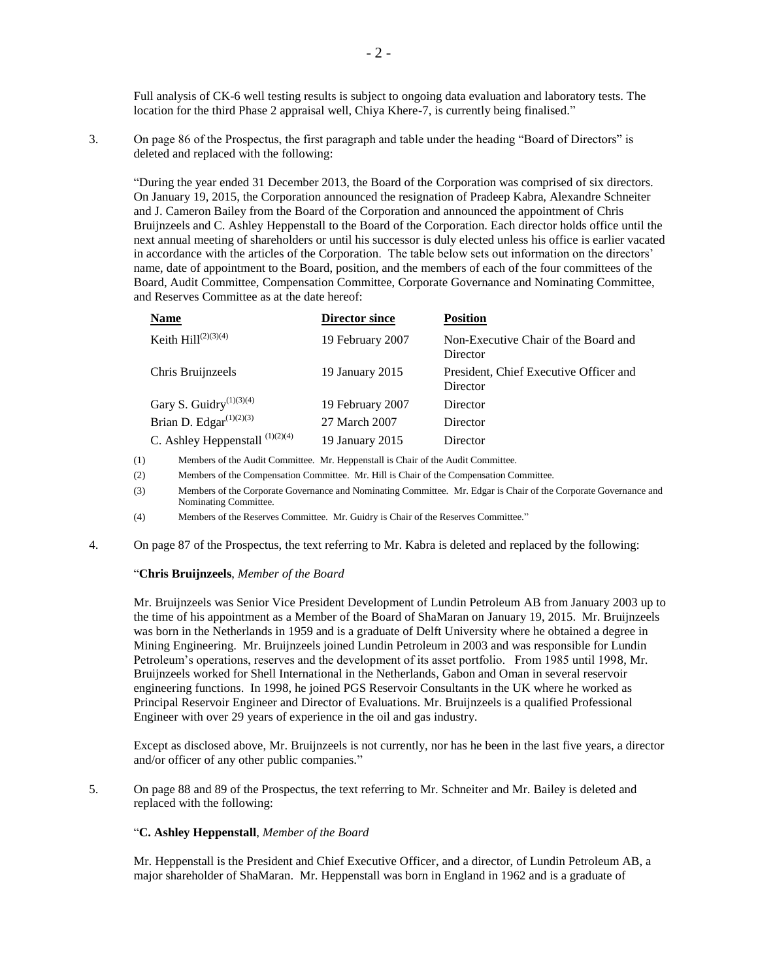Full analysis of CK-6 well testing results is subject to ongoing data evaluation and laboratory tests. The location for the third Phase 2 appraisal well, Chiya Khere-7, is currently being finalised."

3. On page 86 of the Prospectus, the first paragraph and table under the heading "Board of Directors" is deleted and replaced with the following:

"During the year ended 31 December 2013, the Board of the Corporation was comprised of six directors. On January 19, 2015, the Corporation announced the resignation of Pradeep Kabra, Alexandre Schneiter and J. Cameron Bailey from the Board of the Corporation and announced the appointment of Chris Bruijnzeels and C. Ashley Heppenstall to the Board of the Corporation. Each director holds office until the next annual meeting of shareholders or until his successor is duly elected unless his office is earlier vacated in accordance with the articles of the Corporation. The table below sets out information on the directors' name, date of appointment to the Board, position, and the members of each of the four committees of the Board, Audit Committee, Compensation Committee, Corporate Governance and Nominating Committee, and Reserves Committee as at the date hereof:

| <b>Name</b>                                      | <b>Director since</b> | <b>Position</b>                                    |
|--------------------------------------------------|-----------------------|----------------------------------------------------|
| Keith $Hill^{(2)(3)(4)}$                         | 19 February 2007      | Non-Executive Chair of the Board and<br>Director   |
| Chris Bruijnzeels                                | 19 January 2015       | President, Chief Executive Officer and<br>Director |
| Gary S. Guidry <sup><math>(1)(3)(4)</math></sup> | 19 February 2007      | Director                                           |
| Brian D. Edgar $(1)(2)(3)$                       | 27 March 2007         | Director                                           |
| C. Ashley Heppenstall $^{(1)(2)(4)}$             | 19 January 2015       | Director                                           |

(1) Members of the Audit Committee. Mr. Heppenstall is Chair of the Audit Committee.

- (2) Members of the Compensation Committee. Mr. Hill is Chair of the Compensation Committee.
- (3) Members of the Corporate Governance and Nominating Committee. Mr. Edgar is Chair of the Corporate Governance and Nominating Committee.
- (4) Members of the Reserves Committee. Mr. Guidry is Chair of the Reserves Committee."
- 4. On page 87 of the Prospectus, the text referring to Mr. Kabra is deleted and replaced by the following:

#### "**Chris Bruijnzeels**, *Member of the Board*

Mr. Bruijnzeels was Senior Vice President Development of Lundin Petroleum AB from January 2003 up to the time of his appointment as a Member of the Board of ShaMaran on January 19, 2015. Mr. Bruijnzeels was born in the Netherlands in 1959 and is a graduate of Delft University where he obtained a degree in Mining Engineering. Mr. Bruijnzeels joined Lundin Petroleum in 2003 and was responsible for Lundin Petroleum's operations, reserves and the development of its asset portfolio. From 1985 until 1998, Mr. Bruijnzeels worked for Shell International in the Netherlands, Gabon and Oman in several reservoir engineering functions. In 1998, he joined PGS Reservoir Consultants in the UK where he worked as Principal Reservoir Engineer and Director of Evaluations. Mr. Bruijnzeels is a qualified Professional Engineer with over 29 years of experience in the oil and gas industry.

Except as disclosed above, Mr. Bruijnzeels is not currently, nor has he been in the last five years, a director and/or officer of any other public companies."

5. On page 88 and 89 of the Prospectus, the text referring to Mr. Schneiter and Mr. Bailey is deleted and replaced with the following:

#### "**C. Ashley Heppenstall**, *Member of the Board*

Mr. Heppenstall is the President and Chief Executive Officer, and a director, of Lundin Petroleum AB, a major shareholder of ShaMaran. Mr. Heppenstall was born in England in 1962 and is a graduate of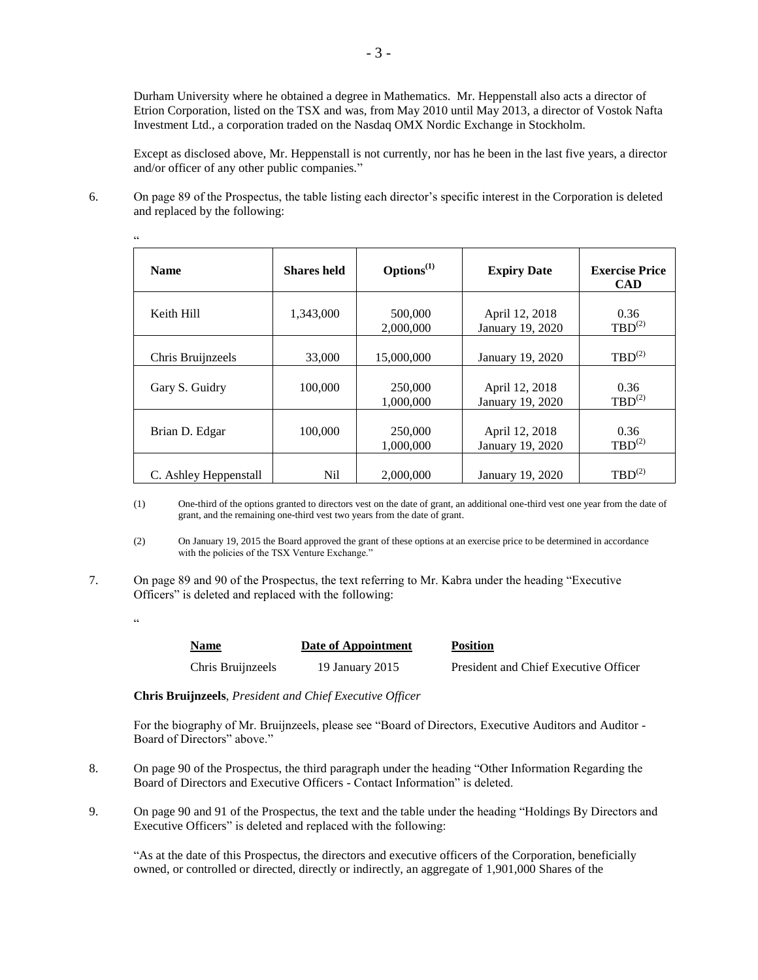Durham University where he obtained a degree in Mathematics. Mr. Heppenstall also acts a director of Etrion Corporation, listed on the TSX and was, from May 2010 until May 2013, a director of Vostok Nafta Investment Ltd., a corporation traded on the Nasdaq OMX Nordic Exchange in Stockholm.

Except as disclosed above, Mr. Heppenstall is not currently, nor has he been in the last five years, a director and/or officer of any other public companies."

6. On page 89 of the Prospectus, the table listing each director's specific interest in the Corporation is deleted and replaced by the following:

| <b>Name</b>           | <b>Shares held</b> | $\mathbf{Options}^{(1)}$ | <b>Expiry Date</b>                 | <b>Exercise Price</b><br><b>CAD</b> |
|-----------------------|--------------------|--------------------------|------------------------------------|-------------------------------------|
| Keith Hill            | 1,343,000          | 500,000<br>2,000,000     | April 12, 2018<br>January 19, 2020 | 0.36<br>$TBD^{(2)}$                 |
| Chris Bruijnzeels     | 33,000             | 15,000,000               | January 19, 2020                   | $TBD^{(2)}$                         |
| Gary S. Guidry        | 100,000            | 250,000<br>1.000.000     | April 12, 2018<br>January 19, 2020 | 0.36<br>$TBD^{(2)}$                 |
| Brian D. Edgar        | 100,000            | 250,000<br>1,000,000     | April 12, 2018<br>January 19, 2020 | 0.36<br>$TBD^{(2)}$                 |
| C. Ashley Heppenstall | N <sub>il</sub>    | 2,000,000                | January 19, 2020                   | $TBD^{(2)}$                         |

(1) One-third of the options granted to directors vest on the date of grant, an additional one-third vest one year from the date of grant, and the remaining one-third vest two years from the date of grant.

(2) On January 19, 2015 the Board approved the grant of these options at an exercise price to be determined in accordance with the policies of the TSX Venture Exchange."

- 7. On page 89 and 90 of the Prospectus, the text referring to Mr. Kabra under the heading "Executive Officers" is deleted and replaced with the following:
	- $\epsilon$

.<br>..

| <b>Name</b>       | Date of Appointment | <b>Position</b>                       |
|-------------------|---------------------|---------------------------------------|
| Chris Bruijnzeels | 19 January 2015     | President and Chief Executive Officer |

**Chris Bruijnzeels**, *President and Chief Executive Officer*

For the biography of Mr. Bruijnzeels, please see "Board of Directors, Executive Auditors and Auditor - Board of Directors" above."

- 8. On page 90 of the Prospectus, the third paragraph under the heading "Other Information Regarding the Board of Directors and Executive Officers - Contact Information" is deleted.
- 9. On page 90 and 91 of the Prospectus, the text and the table under the heading "Holdings By Directors and Executive Officers" is deleted and replaced with the following:

"As at the date of this Prospectus, the directors and executive officers of the Corporation, beneficially owned, or controlled or directed, directly or indirectly, an aggregate of 1,901,000 Shares of the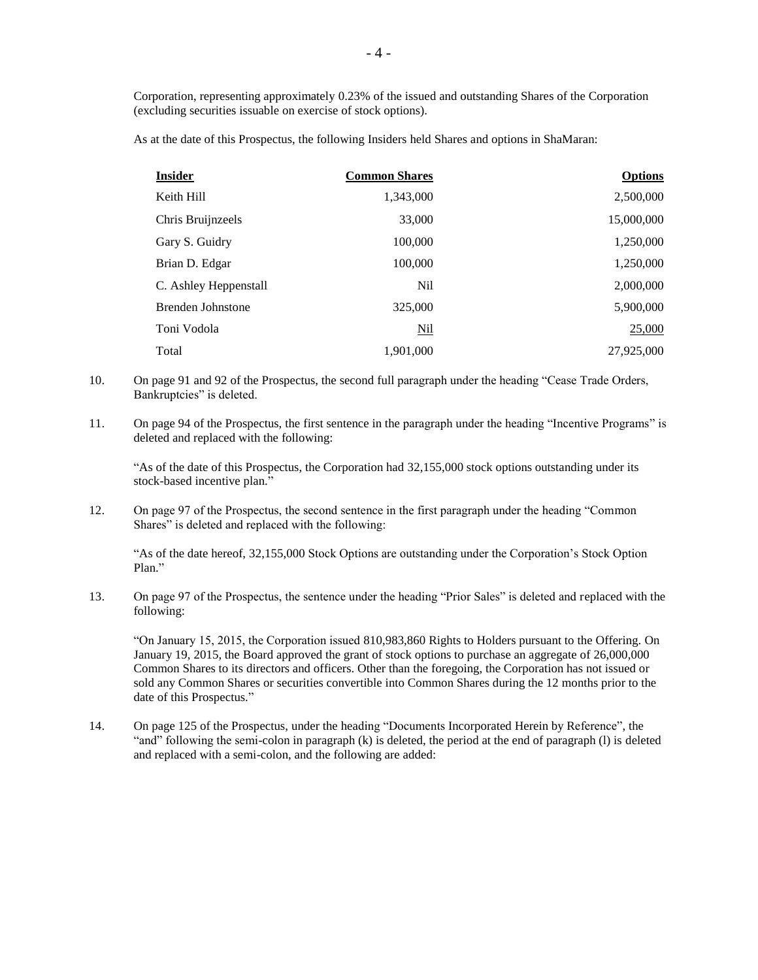Corporation, representing approximately 0.23% of the issued and outstanding Shares of the Corporation (excluding securities issuable on exercise of stock options).

As at the date of this Prospectus, the following Insiders held Shares and options in ShaMaran:

| <b>Insider</b>        | <b>Common Shares</b> | <b>Options</b> |
|-----------------------|----------------------|----------------|
| Keith Hill            | 1,343,000            | 2,500,000      |
| Chris Bruijnzeels     | 33,000               | 15,000,000     |
| Gary S. Guidry        | 100,000              | 1,250,000      |
| Brian D. Edgar        | 100,000              | 1,250,000      |
| C. Ashley Heppenstall | N <sub>il</sub>      | 2,000,000      |
| Brenden Johnstone     | 325,000              | 5,900,000      |
| Toni Vodola           | <b>Nil</b>           | 25,000         |
| Total                 | 1,901,000            | 27,925,000     |

- 10. On page 91 and 92 of the Prospectus, the second full paragraph under the heading "Cease Trade Orders, Bankruptcies" is deleted.
- 11. On page 94 of the Prospectus, the first sentence in the paragraph under the heading "Incentive Programs" is deleted and replaced with the following:

"As of the date of this Prospectus, the Corporation had 32,155,000 stock options outstanding under its stock-based incentive plan."

12. On page 97 of the Prospectus, the second sentence in the first paragraph under the heading "Common Shares" is deleted and replaced with the following:

"As of the date hereof, 32,155,000 Stock Options are outstanding under the Corporation's Stock Option Plan."

13. On page 97 of the Prospectus, the sentence under the heading "Prior Sales" is deleted and replaced with the following:

"On January 15, 2015, the Corporation issued 810,983,860 Rights to Holders pursuant to the Offering. On January 19, 2015, the Board approved the grant of stock options to purchase an aggregate of 26,000,000 Common Shares to its directors and officers. Other than the foregoing, the Corporation has not issued or sold any Common Shares or securities convertible into Common Shares during the 12 months prior to the date of this Prospectus."

14. On page 125 of the Prospectus, under the heading "Documents Incorporated Herein by Reference", the "and" following the semi-colon in paragraph (k) is deleted, the period at the end of paragraph (l) is deleted and replaced with a semi-colon, and the following are added: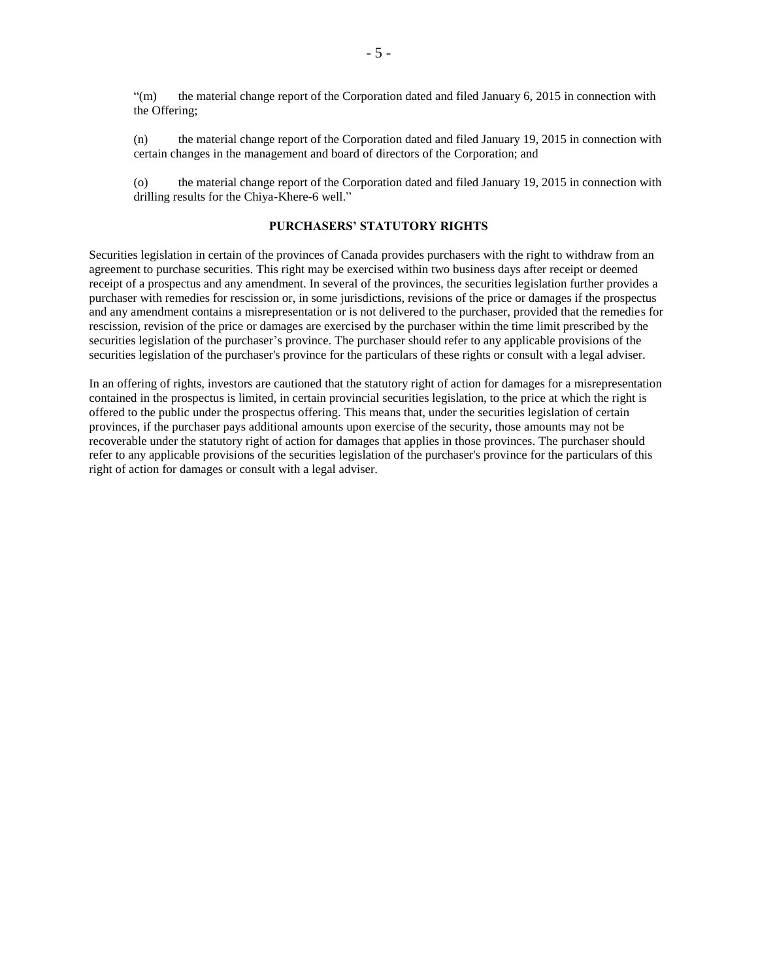"(m) the material change report of the Corporation dated and filed January 6, 2015 in connection with the Offering;

(n) the material change report of the Corporation dated and filed January 19, 2015 in connection with certain changes in the management and board of directors of the Corporation; and

(o) the material change report of the Corporation dated and filed January 19, 2015 in connection with drilling results for the Chiya-Khere-6 well."

#### **PURCHASERS' STATUTORY RIGHTS**

Securities legislation in certain of the provinces of Canada provides purchasers with the right to withdraw from an agreement to purchase securities. This right may be exercised within two business days after receipt or deemed receipt of a prospectus and any amendment. In several of the provinces, the securities legislation further provides a purchaser with remedies for rescission or, in some jurisdictions, revisions of the price or damages if the prospectus and any amendment contains a misrepresentation or is not delivered to the purchaser, provided that the remedies for rescission, revision of the price or damages are exercised by the purchaser within the time limit prescribed by the securities legislation of the purchaser's province. The purchaser should refer to any applicable provisions of the securities legislation of the purchaser's province for the particulars of these rights or consult with a legal adviser.

In an offering of rights, investors are cautioned that the statutory right of action for damages for a misrepresentation contained in the prospectus is limited, in certain provincial securities legislation, to the price at which the right is offered to the public under the prospectus offering. This means that, under the securities legislation of certain provinces, if the purchaser pays additional amounts upon exercise of the security, those amounts may not be recoverable under the statutory right of action for damages that applies in those provinces. The purchaser should refer to any applicable provisions of the securities legislation of the purchaser's province for the particulars of this right of action for damages or consult with a legal adviser.